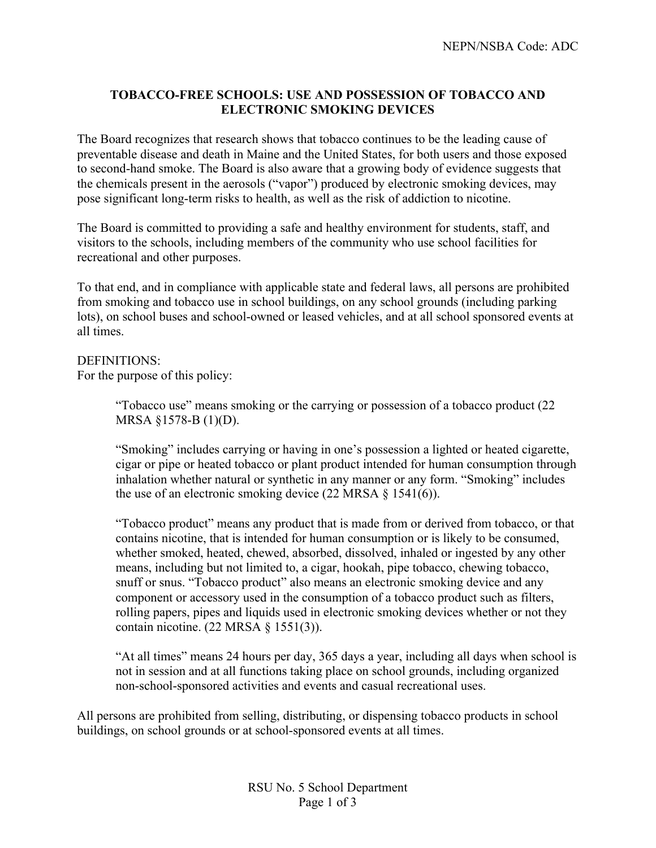### **TOBACCO-FREE SCHOOLS: USE AND POSSESSION OF TOBACCO AND ELECTRONIC SMOKING DEVICES**

The Board recognizes that research shows that tobacco continues to be the leading cause of preventable disease and death in Maine and the United States, for both users and those exposed to second-hand smoke. The Board is also aware that a growing body of evidence suggests that the chemicals present in the aerosols ("vapor") produced by electronic smoking devices, may pose significant long-term risks to health, as well as the risk of addiction to nicotine.

The Board is committed to providing a safe and healthy environment for students, staff, and visitors to the schools, including members of the community who use school facilities for recreational and other purposes.

To that end, and in compliance with applicable state and federal laws, all persons are prohibited from smoking and tobacco use in school buildings, on any school grounds (including parking lots), on school buses and school-owned or leased vehicles, and at all school sponsored events at all times.

DEFINITIONS:

For the purpose of this policy:

"Tobacco use" means smoking or the carrying or possession of a tobacco product (22 MRSA §1578-B (1)(D).

"Smoking" includes carrying or having in one's possession a lighted or heated cigarette, cigar or pipe or heated tobacco or plant product intended for human consumption through inhalation whether natural or synthetic in any manner or any form. "Smoking" includes the use of an electronic smoking device  $(22 \text{ MRSA } \S 1541(6))$ .

"Tobacco product" means any product that is made from or derived from tobacco, or that contains nicotine, that is intended for human consumption or is likely to be consumed, whether smoked, heated, chewed, absorbed, dissolved, inhaled or ingested by any other means, including but not limited to, a cigar, hookah, pipe tobacco, chewing tobacco, snuff or snus. "Tobacco product" also means an electronic smoking device and any component or accessory used in the consumption of a tobacco product such as filters, rolling papers, pipes and liquids used in electronic smoking devices whether or not they contain nicotine. (22 MRSA § 1551(3)).

"At all times" means 24 hours per day, 365 days a year, including all days when school is not in session and at all functions taking place on school grounds, including organized non-school-sponsored activities and events and casual recreational uses.

All persons are prohibited from selling, distributing, or dispensing tobacco products in school buildings, on school grounds or at school-sponsored events at all times.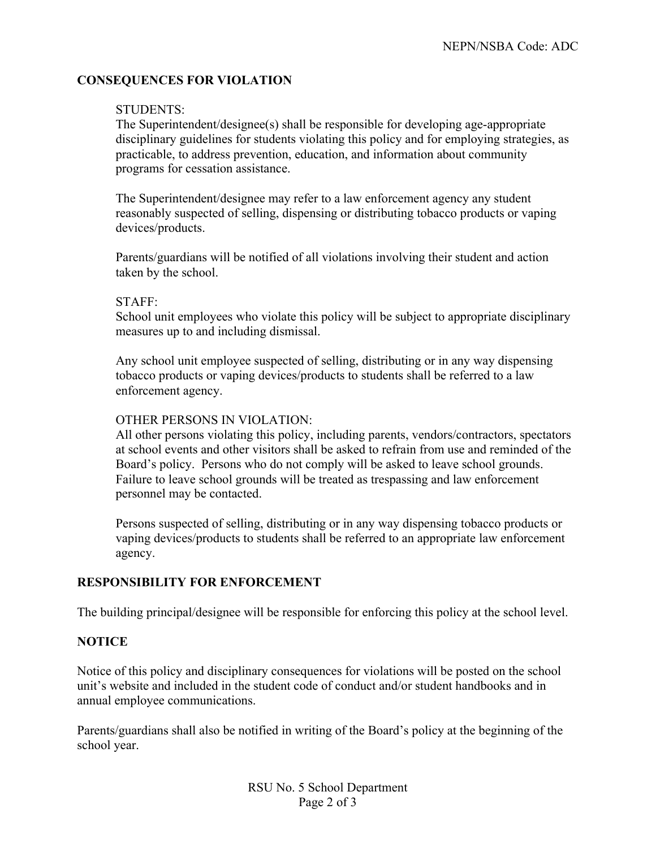# **CONSEQUENCES FOR VIOLATION**

#### STUDENTS:

The Superintendent/designee(s) shall be responsible for developing age-appropriate disciplinary guidelines for students violating this policy and for employing strategies, as practicable, to address prevention, education, and information about community programs for cessation assistance.

The Superintendent/designee may refer to a law enforcement agency any student reasonably suspected of selling, dispensing or distributing tobacco products or vaping devices/products.

Parents/guardians will be notified of all violations involving their student and action taken by the school.

#### STAFF:

School unit employees who violate this policy will be subject to appropriate disciplinary measures up to and including dismissal.

Any school unit employee suspected of selling, distributing or in any way dispensing tobacco products or vaping devices/products to students shall be referred to a law enforcement agency.

#### OTHER PERSONS IN VIOLATION:

All other persons violating this policy, including parents, vendors/contractors, spectators at school events and other visitors shall be asked to refrain from use and reminded of the Board's policy. Persons who do not comply will be asked to leave school grounds. Failure to leave school grounds will be treated as trespassing and law enforcement personnel may be contacted.

Persons suspected of selling, distributing or in any way dispensing tobacco products or vaping devices/products to students shall be referred to an appropriate law enforcement agency.

#### **RESPONSIBILITY FOR ENFORCEMENT**

The building principal/designee will be responsible for enforcing this policy at the school level.

#### **NOTICE**

Notice of this policy and disciplinary consequences for violations will be posted on the school unit's website and included in the student code of conduct and/or student handbooks and in annual employee communications.

Parents/guardians shall also be notified in writing of the Board's policy at the beginning of the school year.

> RSU No. 5 School Department Page 2 of 3